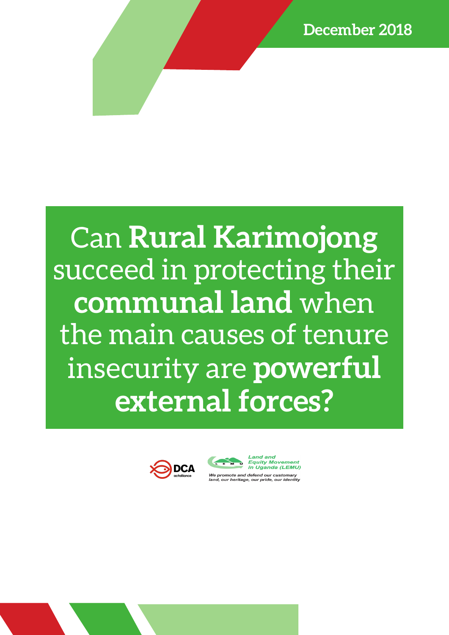# Can **Rural Karimojong**  succeed in protecting their **communal land** when the main causes of tenure insecurity are **powerful external forces?**





We promote and defend our customary land, our heritage, our pride, our identity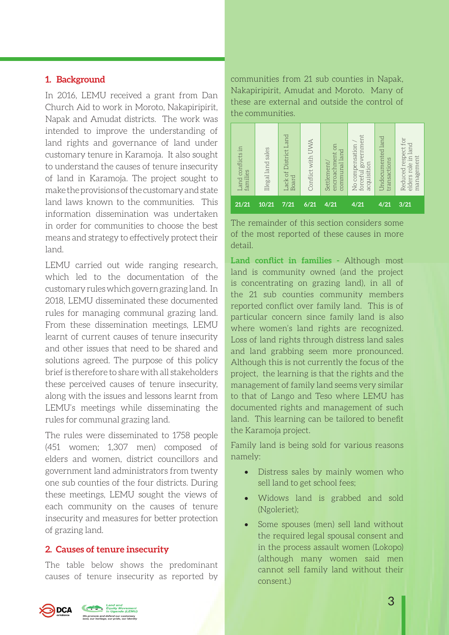# **1. Background**

In 2016, LEMU received a grant from Dan Church Aid to work in Moroto, Nakapiripirit, Napak and Amudat districts. The work was intended to improve the understanding of land rights and governance of land under customary tenure in Karamoja. It also sought to understand the causes of tenure insecurity of land in Karamoja. The project sought to make the provisions of the customary and state land laws known to the communities. This information dissemination was undertaken in order for communities to choose the best means and strategy to effectively protect their land.

LEMU carried out wide ranging research, which led to the documentation of the customary rules which govern grazing land. In 2018, LEMU disseminated these documented rules for managing communal grazing land. From these dissemination meetings, LEMU learnt of current causes of tenure insecurity and other issues that need to be shared and solutions agreed. The purpose of this policy brief is therefore to share with all stakeholders these perceived causes of tenure insecurity, along with the issues and lessons learnt from LEMU's meetings while disseminating the rules for communal grazing land.

The rules were disseminated to 1758 people (451 women; 1,307 men) composed of elders and women, district councillors and government land administrators from twenty one sub counties of the four districts. During these meetings, LEMU sought the views of each community on the causes of tenure insecurity and measures for better protection of grazing land.

# **2. Causes of tenure insecurity**

The table below shows the predominant causes of tenure insecurity as reported by

communities from 21 sub counties in Napak, Nakapiripirit, Amudat and Moroto. Many of these are external and outside the control of the communities.



The remainder of this section considers some of the most reported of these causes in more detail.

**Land conflict in families -** Although most land is community owned (and the project is concentrating on grazing land), in all of the 21 sub counties community members reported conflict over family land. This is of particular concern since family land is also where women's land rights are recognized. Loss of land rights through distress land sales and land grabbing seem more pronounced. Although this is not currently the focus of the project, the learning is that the rights and the management of family land seems very similar to that of Lango and Teso where LEMU has documented rights and management of such land. This learning can be tailored to benefit the Karamoja project.

Family land is being sold for various reasons namely:

- Distress sales by mainly women who sell land to get school fees;
- • Widows land is grabbed and sold (Ngoleriet);
- Some spouses (men) sell land without the required legal spousal consent and in the process assault women (Lokopo) (although many women said men cannot sell family land without their consent.)

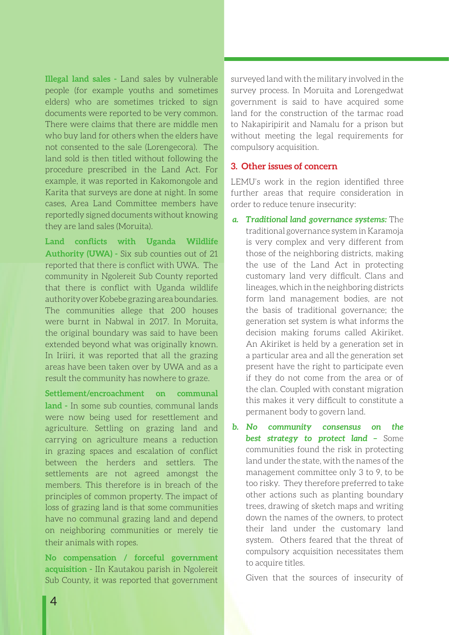**Illegal land sales -** Land sales by vulnerable people (for example youths and sometimes elders) who are sometimes tricked to sign documents were reported to be very common. There were claims that there are middle men who buy land for others when the elders have not consented to the sale (Lorengecora). The land sold is then titled without following the procedure prescribed in the Land Act. For example, it was reported in Kakomongole and Karita that surveys are done at night. In some cases, Area Land Committee members have reportedly signed documents without knowing they are land sales (Moruita).

**Land conflicts with Uganda Wildlife Authority (UWA) -** Six sub counties out of 21 reported that there is conflict with UWA. The community in Ngolereit Sub County reported that there is conflict with Uganda wildlife authority over Kobebe grazing area boundaries. The communities allege that 200 houses were burnt in Nabwal in 2017. In Moruita, the original boundary was said to have been extended beyond what was originally known. In Iriiri, it was reported that all the grazing areas have been taken over by UWA and as a result the community has nowhere to graze.

**Settlement/encroachment on communal land -** In some sub counties, communal lands were now being used for resettlement and agriculture. Settling on grazing land and carrying on agriculture means a reduction in grazing spaces and escalation of conflict between the herders and settlers. The settlements are not agreed amongst the members. This therefore is in breach of the principles of common property. The impact of loss of grazing land is that some communities have no communal grazing land and depend on neighboring communities or merely tie their animals with ropes.

**No compensation / forceful government acquisition -** IIn Kautakou parish in Ngolereit Sub County, it was reported that government surveyed land with the military involved in the survey process. In Moruita and Lorengedwat government is said to have acquired some land for the construction of the tarmac road to Nakapiripirit and Namalu for a prison but without meeting the legal requirements for compulsory acquisition.

#### **3. Other issues of concern**

LEMU's work in the region identified three further areas that require consideration in order to reduce tenure insecurity:

- *a. Traditional land governance systems:* The traditional governance system in Karamoja is very complex and very different from those of the neighboring districts, making the use of the Land Act in protecting customary land very difficult. Clans and lineages, which in the neighboring districts form land management bodies, are not the basis of traditional governance; the generation set system is what informs the decision making forums called Akiriket. An Akiriket is held by a generation set in a particular area and all the generation set present have the right to participate even if they do not come from the area or of the clan. Coupled with constant migration this makes it very difficult to constitute a permanent body to govern land.
- *b. No community consensus on the best strategy to protect land –* Some communities found the risk in protecting land under the state, with the names of the management committee only 3 to 9, to be too risky. They therefore preferred to take other actions such as planting boundary trees, drawing of sketch maps and writing down the names of the owners, to protect their land under the customary land system. Others feared that the threat of compulsory acquisition necessitates them to acquire titles.

Given that the sources of insecurity of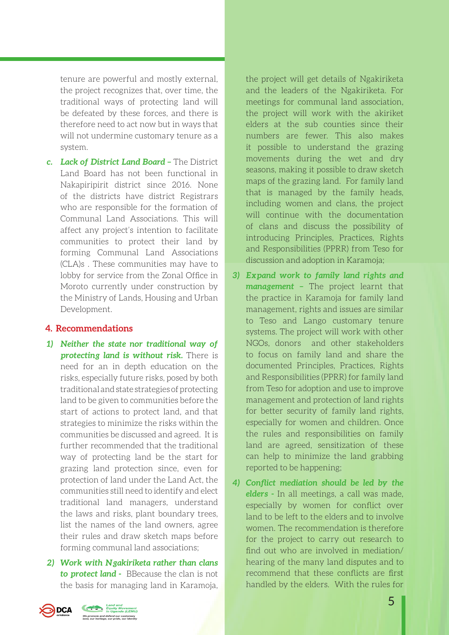tenure are powerful and mostly external, the project recognizes that, over time, the traditional ways of protecting land will be defeated by these forces, and there is therefore need to act now but in ways that will not undermine customary tenure as a system.

*c. Lack of District Land Board –* The District Land Board has not been functional in Nakapiripirit district since 2016. None of the districts have district Registrars who are responsible for the formation of Communal Land Associations. This will affect any project's intention to facilitate communities to protect their land by forming Communal Land Associations (CLA)s . These communities may have to lobby for service from the Zonal Office in Moroto currently under construction by the Ministry of Lands, Housing and Urban Development.

# **4. Recommendations**

- *1) Neither the state nor traditional way of protecting land is without risk.* There is need for an in depth education on the risks, especially future risks, posed by both traditional and state strategies of protecting land to be given to communities before the start of actions to protect land, and that strategies to minimize the risks within the communities be discussed and agreed. It is further recommended that the traditional way of protecting land be the start for grazing land protection since, even for protection of land under the Land Act, the communities still need to identify and elect traditional land managers, understand the laws and risks, plant boundary trees, list the names of the land owners, agree their rules and draw sketch maps before forming communal land associations;
- *2) Work with Ngakiriketa rather than clans to protect land -* BBecause the clan is not the basis for managing land in Karamoja,

the project will get details of Ngakiriketa and the leaders of the Ngakiriketa. For meetings for communal land association, the project will work with the akiriket elders at the sub counties since their numbers are fewer. This also makes it possible to understand the grazing movements during the wet and dry seasons, making it possible to draw sketch maps of the grazing land. For family land that is managed by the family heads, including women and clans, the project will continue with the documentation of clans and discuss the possibility of introducing Principles, Practices, Rights and Responsibilities (PPRR) from Teso for discussion and adoption in Karamoja;

- *3) Expand work to family land rights and management –* The project learnt that the practice in Karamoja for family land management, rights and issues are similar to Teso and Lango customary tenure systems. The project will work with other NGOs, donors and other stakeholders to focus on family land and share the documented Principles, Practices, Rights and Responsibilities (PPRR) for family land from Teso for adoption and use to improve management and protection of land rights for better security of family land rights, especially for women and children. Once the rules and responsibilities on family land are agreed, sensitization of these can help to minimize the land grabbing reported to be happening;
- *4) Conflict mediation should be led by the elders -* In all meetings, a call was made, especially by women for conflict over land to be left to the elders and to involve women. The recommendation is therefore for the project to carry out research to find out who are involved in mediation/ hearing of the many land disputes and to recommend that these conflicts are first handled by the elders. With the rules for

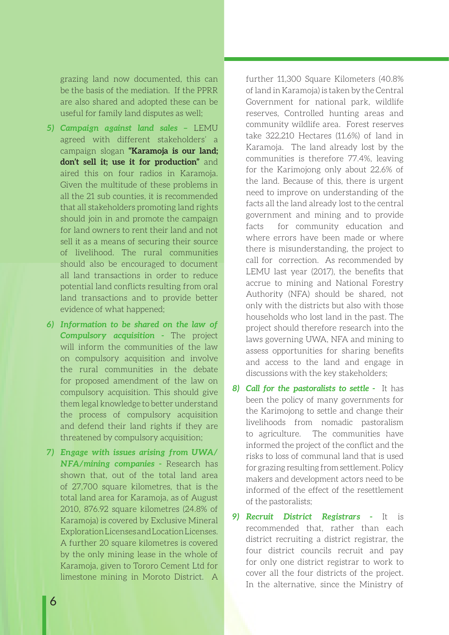grazing land now documented, this can be the basis of the mediation. If the PPRR are also shared and adopted these can be useful for family land disputes as well;

- *5) Campaign against land sales –* LEMU agreed with different stakeholders' a campaign slogan **"Karamoja is our land; don't sell it; use it for production"** and aired this on four radios in Karamoja. Given the multitude of these problems in all the 21 sub counties, it is recommended that all stakeholders promoting land rights should join in and promote the campaign for land owners to rent their land and not sell it as a means of securing their source of livelihood. The rural communities should also be encouraged to document all land transactions in order to reduce potential land conflicts resulting from oral land transactions and to provide better evidence of what happened;
- *6) Information to be shared on the law of Compulsory acquisition -* The project will inform the communities of the law on compulsory acquisition and involve the rural communities in the debate for proposed amendment of the law on compulsory acquisition. This should give them legal knowledge to better understand the process of compulsory acquisition and defend their land rights if they are threatened by compulsory acquisition;
- *7) Engage with issues arising from UWA/ NFA/mining companies -* Research has shown that, out of the total land area of 27,700 square kilometres, that is the total land area for Karamoja, as of August 2010, 876.92 square kilometres (24.8% of Karamoja) is covered by Exclusive Mineral Exploration Licenses and Location Licenses. A further 20 square kilometres is covered by the only mining lease in the whole of Karamoja, given to Tororo Cement Ltd for limestone mining in Moroto District. A

further 11,300 Square Kilometers (40.8% of land in Karamoja) is taken by the Central Government for national park, wildlife reserves, Controlled hunting areas and community wildlife area. Forest reserves take 322,210 Hectares (11.6%) of land in Karamoja. The land already lost by the communities is therefore 77.4%, leaving for the Karimojong only about 22.6% of the land. Because of this, there is urgent need to improve on understanding of the facts all the land already lost to the central government and mining and to provide facts for community education and where errors have been made or where there is misunderstanding, the project to call for correction. As recommended by LEMU last year (2017), the benefits that accrue to mining and National Forestry Authority (NFA) should be shared, not only with the districts but also with those households who lost land in the past. The project should therefore research into the laws governing UWA, NFA and mining to assess opportunities for sharing benefits and access to the land and engage in discussions with the key stakeholders;

- *8) Call for the pastoralists to settle* It has been the policy of many governments for the Karimojong to settle and change their livelihoods from nomadic pastoralism to agriculture. The communities have informed the project of the conflict and the risks to loss of communal land that is used for grazing resulting from settlement. Policy makers and development actors need to be informed of the effect of the resettlement of the pastoralists;
- *9) Recruit District Registrars* It is recommended that, rather than each district recruiting a district registrar, the four district councils recruit and pay for only one district registrar to work to cover all the four districts of the project. In the alternative, since the Ministry of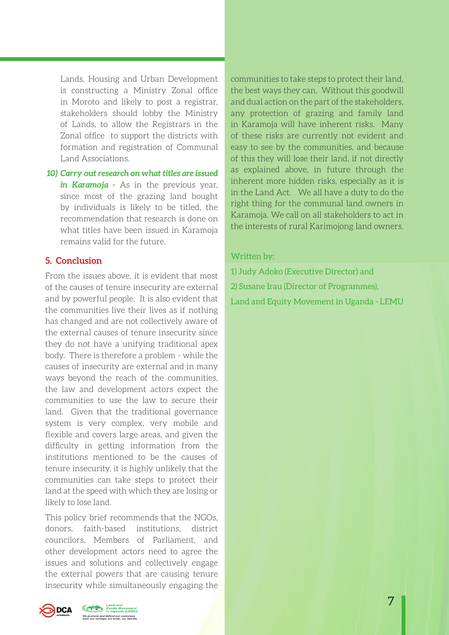Lands, Housing and Urban Development is constructing a Ministry Zonal office in Moroto and likely to post a registrar, stakeholders should lobby the Ministry of Lands, to allow the Registrars in the Zonal office to support the districts with formation and registration of Communal Land Associations.

*10) Carry out research on what titles are issued in Karamoja -* As in the previous year, since most of the grazing land bought by individuals is likely to be titled, the recommendation that research is done on what titles have been issued in Karamoja remains valid for the future.

# **5. Conclusion**

From the issues above, it is evident that most of the causes of tenure insecurity are external and by powerful people. It is also evident that the communities live their lives as if nothing has changed and are not collectively aware of the external causes of tenure insecurity since they do not have a unifying traditional apex body. There is therefore a problem - while the causes of insecurity are external and in many ways beyond the reach of the communities, the law and development actors expect the communities to use the law to secure their land. Given that the traditional governance system is very complex, very mobile and flexible and covers large areas, and given the difficulty in getting information from the institutions mentioned to be the causes of tenure insecurity, it is highly unlikely that the communities can take steps to protect their land at the speed with which they are losing or likely to lose land.

This policy brief recommends that the NGOs, donors, faith-based institutions, district councilors, Members of Parliament, and other development actors need to agree the issues and solutions and collectively engage the external powers that are causing tenure insecurity while simultaneously engaging the

communities to take steps to protect their land, the best ways they can. Without this goodwill and dual action on the part of the stakeholders, any protection of grazing and family land in Karamoja will have inherent risks. Many of these risks are currently not evident and easy to see by the communities, and because of this they will lose their land, if not directly as explained above, in future through the inherent more hidden risks, especially as it is in the Land Act. We all have a duty to do the right thing for the communal land owners in Karamoja. We call on all stakeholders to act in the interests of rural Karimojong land owners.

#### Written by:

1) Judy Adoko (Executive Director) and 2) Susane Irau (Director of Programmes), Land and Equity Movement in Uganda - LEMU